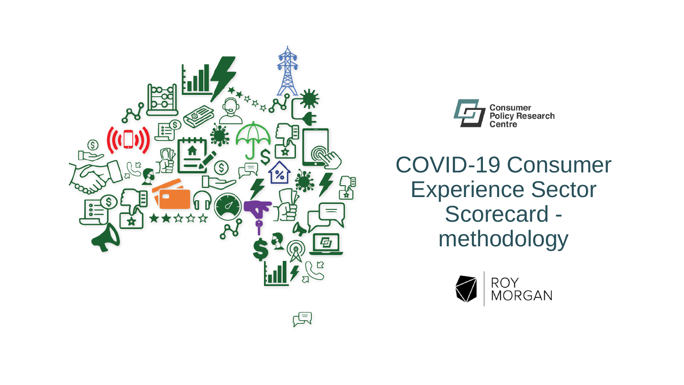



COVID-19 Consumer Experience Sector Scorecard methodology

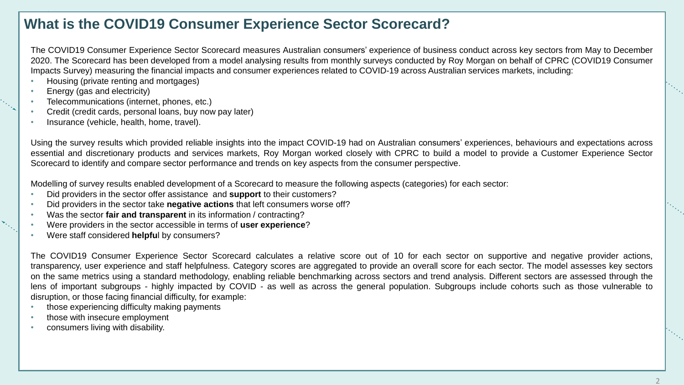## **What is the COVID19 Consumer Experience Sector Scorecard?**

The COVID19 Consumer Experience Sector Scorecard measures Australian consumers' experience of business conduct across key sectors from May to December 2020. The Scorecard has been developed from a model analysing results from monthly surveys conducted by Roy Morgan on behalf of CPRC (COVID19 Consumer Impacts Survey) measuring the financial impacts and consumer experiences related to COVID-19 across Australian services markets, including:

- Housing (private renting and mortgages)
- Energy (gas and electricity)
- Telecommunications (internet, phones, etc.)
- Credit (credit cards, personal loans, buy now pay later)
- Insurance (vehicle, health, home, travel).

Using the survey results which provided reliable insights into the impact COVID-19 had on Australian consumers' experiences, behaviours and expectations across essential and discretionary products and services markets, Roy Morgan worked closely with CPRC to build a model to provide a Customer Experience Sector Scorecard to identify and compare sector performance and trends on key aspects from the consumer perspective.

Modelling of survey results enabled development of a Scorecard to measure the following aspects (categories) for each sector:

- Did providers in the sector offer assistance and **support** to their customers?
- Did providers in the sector take **negative actions** that left consumers worse off?
- Was the sector **fair and transparent** in its information / contracting?
- Were providers in the sector accessible in terms of **user experience**?
- Were staff considered **helpfu**l by consumers?

The COVID19 Consumer Experience Sector Scorecard calculates a relative score out of 10 for each sector on supportive and negative provider actions, transparency, user experience and staff helpfulness. Category scores are aggregated to provide an overall score for each sector. The model assesses key sectors on the same metrics using a standard methodology, enabling reliable benchmarking across sectors and trend analysis. Different sectors are assessed through the lens of important subgroups - highly impacted by COVID - as well as across the general population. Subgroups include cohorts such as those vulnerable to disruption, or those facing financial difficulty, for example:

- those experiencing difficulty making payments
- those with insecure employment
- consumers living with disability.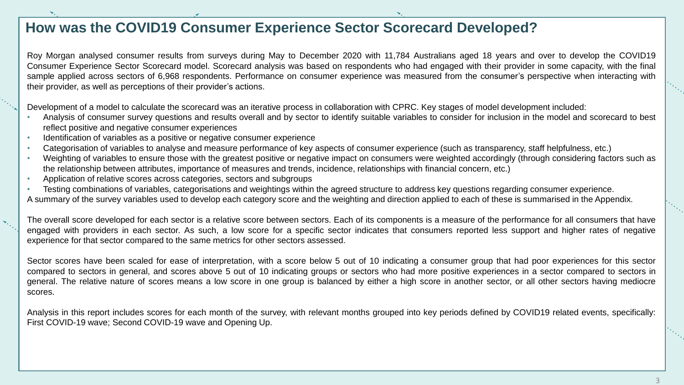## **How was the COVID19 Consumer Experience Sector Scorecard Developed?**

Roy Morgan analysed consumer results from surveys during May to December 2020 with 11,784 Australians aged 18 years and over to develop the COVID19 Consumer Experience Sector Scorecard model. Scorecard analysis was based on respondents who had engaged with their provider in some capacity, with the final sample applied across sectors of 6,968 respondents. Performance on consumer experience was measured from the consumer's perspective when interacting with their provider, as well as perceptions of their provider's actions.

Development of a model to calculate the scorecard was an iterative process in collaboration with CPRC. Key stages of model development included:

- Analysis of consumer survey questions and results overall and by sector to identify suitable variables to consider for inclusion in the model and scorecard to best reflect positive and negative consumer experiences
- Identification of variables as a positive or negative consumer experience
- Categorisation of variables to analyse and measure performance of key aspects of consumer experience (such as transparency, staff helpfulness, etc.)
- Weighting of variables to ensure those with the greatest positive or negative impact on consumers were weighted accordingly (through considering factors such as the relationship between attributes, importance of measures and trends, incidence, relationships with financial concern, etc.)
- Application of relative scores across categories, sectors and subgroups
- Testing combinations of variables, categorisations and weightings within the agreed structure to address key questions regarding consumer experience.
- A summary of the survey variables used to develop each category score and the weighting and direction applied to each of these is summarised in the Appendix.

The overall score developed for each sector is a relative score between sectors. Each of its components is a measure of the performance for all consumers that have engaged with providers in each sector. As such, a low score for a specific sector indicates that consumers reported less support and higher rates of negative experience for that sector compared to the same metrics for other sectors assessed.

Sector scores have been scaled for ease of interpretation, with a score below 5 out of 10 indicating a consumer group that had poor experiences for this sector compared to sectors in general, and scores above 5 out of 10 indicating groups or sectors who had more positive experiences in a sector compared to sectors in general. The relative nature of scores means a low score in one group is balanced by either a high score in another sector, or all other sectors having mediocre scores.

Analysis in this report includes scores for each month of the survey, with relevant months grouped into key periods defined by COVID19 related events, specifically: First COVID-19 wave; Second COVID-19 wave and Opening Up.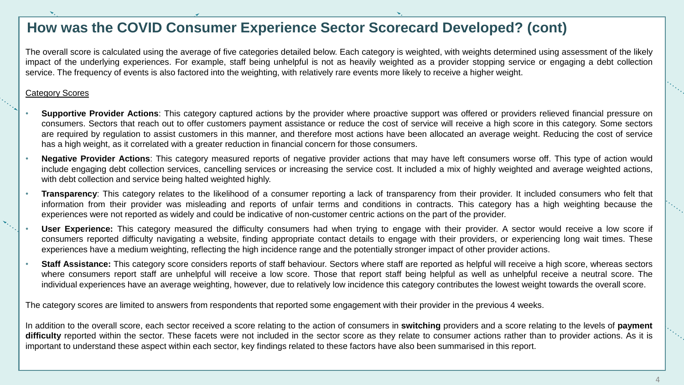### **How was the COVID Consumer Experience Sector Scorecard Developed? (cont)**

The overall score is calculated using the average of five categories detailed below. Each category is weighted, with weights determined using assessment of the likely impact of the underlying experiences. For example, staff being unhelpful is not as heavily weighted as a provider stopping service or engaging a debt collection service. The frequency of events is also factored into the weighting, with relatively rare events more likely to receive a higher weight.

#### Category Scores

- **Supportive Provider Actions**: This category captured actions by the provider where proactive support was offered or providers relieved financial pressure on consumers. Sectors that reach out to offer customers payment assistance or reduce the cost of service will receive a high score in this category. Some sectors are required by regulation to assist customers in this manner, and therefore most actions have been allocated an average weight. Reducing the cost of service has a high weight, as it correlated with a greater reduction in financial concern for those consumers.
- **Negative Provider Actions**: This category measured reports of negative provider actions that may have left consumers worse off. This type of action would include engaging debt collection services, cancelling services or increasing the service cost. It included a mix of highly weighted and average weighted actions, with debt collection and service being halted weighted highly.
	- **Transparency**: This category relates to the likelihood of a consumer reporting a lack of transparency from their provider. It included consumers who felt that information from their provider was misleading and reports of unfair terms and conditions in contracts. This category has a high weighting because the experiences were not reported as widely and could be indicative of non-customer centric actions on the part of the provider.
	- User Experience: This category measured the difficulty consumers had when trying to engage with their provider. A sector would receive a low score if consumers reported difficulty navigating a website, finding appropriate contact details to engage with their providers, or experiencing long wait times. These experiences have a medium weighting, reflecting the high incidence range and the potentially stronger impact of other provider actions.
- **Staff Assistance:** This category score considers reports of staff behaviour. Sectors where staff are reported as helpful will receive a high score, whereas sectors where consumers report staff are unhelpful will receive a low score. Those that report staff being helpful as well as unhelpful receive a neutral score. The individual experiences have an average weighting, however, due to relatively low incidence this category contributes the lowest weight towards the overall score.

The category scores are limited to answers from respondents that reported some engagement with their provider in the previous 4 weeks.

In addition to the overall score, each sector received a score relating to the action of consumers in **switching** providers and a score relating to the levels of **payment** difficulty reported within the sector. These facets were not included in the sector score as they relate to consumer actions rather than to provider actions. As it is important to understand these aspect within each sector, key findings related to these factors have also been summarised in this report.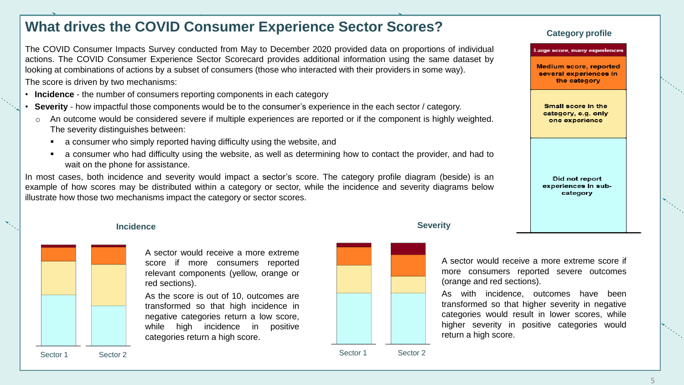# **What drives the COVID Consumer Experience Sector Scores? Category profile**

The COVID Consumer Impacts Survey conducted from May to December 2020 provided data on proportions of individual actions. The COVID Consumer Experience Sector Scorecard provides additional information using the same dataset by looking at combinations of actions by a subset of consumers (those who interacted with their providers in some way). The score is driven by two mechanisms:

- **Incidence** the number of consumers reporting components in each category
- **Severity** how impactful those components would be to the consumer's experience in the each sector / category.
- An outcome would be considered severe if multiple experiences are reported or if the component is highly weighted. The severity distinguishes between:
	- a consumer who simply reported having difficulty using the website, and
	- a consumer who had difficulty using the website, as well as determining how to contact the provider, and had to wait on the phone for assistance.

In most cases, both incidence and severity would impact a sector's score. The category profile diagram (beside) is an example of how scores may be distributed within a category or sector, while the incidence and severity diagrams below illustrate how those two mechanisms impact the category or sector scores.

#### **Incidence**



A sector would receive a more extreme score if more consumers reported relevant components (yellow, orange or red sections).

As the score is out of 10, outcomes are transformed so that high incidence in negative categories return a low score, while high incidence in positive categories return a high score.



Sector 1 Sector 2

#### **Severity**

A sector would receive a more extreme score if more consumers reported severe outcomes (orange and red sections).

As with incidence, outcomes have been transformed so that higher severity in negative categories would result in lower scores, while higher severity in positive categories would return a high score.

Sector 1 Sector 2

arge score, many experience

Medium score, reported several experiences in the category

Small score in the category, e.g. only one experience

Did not report experiences in subcategory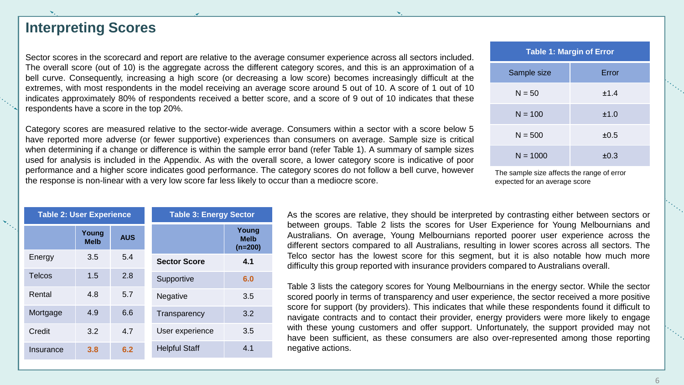### **Interpreting Scores**

Sector scores in the scorecard and report are relative to the average consumer experience across all sectors included. The overall score (out of 10) is the aggregate across the different category scores, and this is an approximation of a bell curve. Consequently, increasing a high score (or decreasing a low score) becomes increasingly difficult at the extremes, with most respondents in the model receiving an average score around 5 out of 10. A score of 1 out of 10 indicates approximately 80% of respondents received a better score, and a score of 9 out of 10 indicates that these respondents have a score in the top 20%.

Category scores are measured relative to the sector-wide average. Consumers within a sector with a score below 5 have reported more adverse (or fewer supportive) experiences than consumers on average. Sample size is critical when determining if a change or difference is within the sample error band (refer Table 1). A summary of sample sizes used for analysis is included in the Appendix. As with the overall score, a lower category score is indicative of poor performance and a higher score indicates good performance. The category scores do not follow a bell curve, however the response is non-linear with a very low score far less likely to occur than a mediocre score.

| <b>Table 1: Margin of Error</b> |           |  |  |  |  |  |  |
|---------------------------------|-----------|--|--|--|--|--|--|
| Sample size                     | Error     |  |  |  |  |  |  |
| $N = 50$                        | ±1.4      |  |  |  |  |  |  |
| $N = 100$                       | ±1.0      |  |  |  |  |  |  |
| $N = 500$                       | ±0.5      |  |  |  |  |  |  |
| $N = 1000$                      | $\pm 0.3$ |  |  |  |  |  |  |

The sample size affects the range of error expected for an average score

| <b>Table 2: User Experience</b> |                      |            | <b>Table 3: Energy Sector</b> |                                   |  |  |
|---------------------------------|----------------------|------------|-------------------------------|-----------------------------------|--|--|
|                                 | Young<br><b>Melb</b> | <b>AUS</b> |                               | Young<br><b>Melb</b><br>$(n=200)$ |  |  |
| Energy                          | 3.5                  | 5.4        | <b>Sector Score</b>           | 4.1                               |  |  |
| <b>Telcos</b>                   | 1.5                  | 2.8        | Supportive                    | 6.0                               |  |  |
| Rental                          | 4.8                  | 5.7        | Negative                      | 3.5                               |  |  |
| Mortgage                        | 4.9                  | 6.6        | Transparency                  | 3.2                               |  |  |
| Credit                          | 3.2                  | 4.7        | User experience               | 3.5                               |  |  |
| Insurance                       | 3.8                  | 6.2        | <b>Helpful Staff</b>          | 4.1                               |  |  |

As the scores are relative, they should be interpreted by contrasting either between sectors or between groups. Table 2 lists the scores for User Experience for Young Melbournians and Australians. On average, Young Melbournians reported poorer user experience across the different sectors compared to all Australians, resulting in lower scores across all sectors. The Telco sector has the lowest score for this segment, but it is also notable how much more difficulty this group reported with insurance providers compared to Australians overall.

Table 3 lists the category scores for Young Melbournians in the energy sector. While the sector scored poorly in terms of transparency and user experience, the sector received a more positive score for support (by providers). This indicates that while these respondents found it difficult to navigate contracts and to contact their provider, energy providers were more likely to engage with these young customers and offer support. Unfortunately, the support provided may not have been sufficient, as these consumers are also over-represented among those reporting negative actions.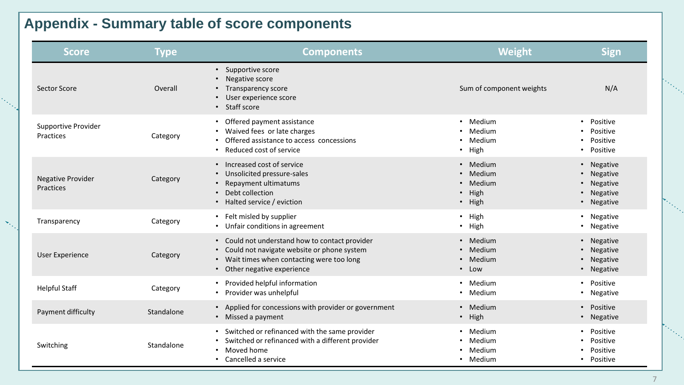## **Appendix - Summary table of score components**

 $\mathbf{v}_i$ 

| Score                                 | <b>Type</b> | <b>Components</b>                                                                                                                                                       | <b>Weight</b>                                                    | <b>Sign</b>                                                                   |
|---------------------------------------|-------------|-------------------------------------------------------------------------------------------------------------------------------------------------------------------------|------------------------------------------------------------------|-------------------------------------------------------------------------------|
| <b>Sector Score</b>                   | Overall     | • Supportive score<br>Negative score<br>$\bullet$<br><b>Transparency score</b><br>User experience score<br>• Staff score                                                | Sum of component weights                                         | N/A                                                                           |
| Supportive Provider<br>Practices      | Category    | Offered payment assistance<br>Waived fees or late charges<br>Offered assistance to access concessions<br>Reduced cost of service                                        | • Medium<br>Medium<br>$\bullet$<br>Medium<br>$\bullet$<br>· High | Positive<br>$\bullet$<br>Positive<br>Positive<br>Positive<br>$\bullet$        |
| <b>Negative Provider</b><br>Practices | Category    | • Increased cost of service<br>Unsolicited pressure-sales<br>Repayment ultimatums<br>Debt collection<br>• Halted service / eviction                                     | • Medium<br>• Medium<br>• Medium<br>• High<br>• High             | • Negative<br>• Negative<br>Negative<br>$\bullet$<br>• Negative<br>• Negative |
| Transparency                          | Category    | • Felt misled by supplier<br>• Unfair conditions in agreement                                                                                                           | • High<br>• High                                                 | • Negative<br>• Negative                                                      |
| <b>User Experience</b>                | Category    | • Could not understand how to contact provider<br>Could not navigate website or phone system<br>Wait times when contacting were too long<br>• Other negative experience | • Medium<br>Medium<br>$\bullet$<br>Medium<br>$\bullet$<br>• Low  | • Negative<br>• Negative<br>Negative<br>$\bullet$<br>• Negative               |
| <b>Helpful Staff</b>                  | Category    | • Provided helpful information<br>• Provider was unhelpful                                                                                                              | • Medium<br>• Medium                                             | • Positive<br>• Negative                                                      |
| Payment difficulty                    | Standalone  | • Applied for concessions with provider or government<br>• Missed a payment                                                                                             | • Medium<br>• High                                               | • Positive<br>• Negative                                                      |
| Switching                             | Standalone  | Switched or refinanced with the same provider<br>Switched or refinanced with a different provider<br>Moved home<br>• Cancelled a service                                | • Medium<br>• Medium<br>Medium<br>• Medium                       | • Positive<br>Positive<br>$\bullet$<br>Positive<br>• Positive                 |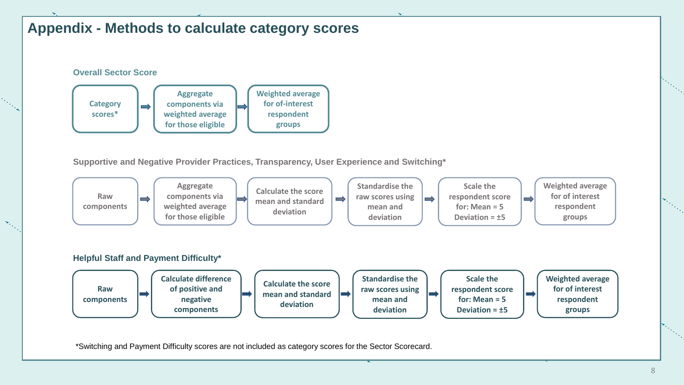## **Appendix - Methods to calculate category scores**



 $\mathcal{H}_{\mathcal{O}_{\mathcal{C}}}$ 

**Supportive and Negative Provider Practices, Transparency, User Experience and Switching\***



\*Switching and Payment Difficulty scores are not included as category scores for the Sector Scorecard.

March 1997.<br>March 1997.